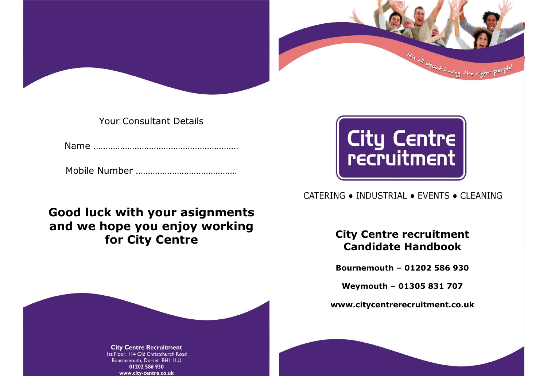

Your Consultant Details

Name ……………………………………………………

Mobile Number ……………………………………

# Good luck with your asignments and we hope you enjoy working for City Centre



CATERING . INDUSTRIAL . EVENTS . CLEANING

# City Centre recruitment Candidate Handbook

Bournemouth – 01202 586 930

Weymouth – 01305 831 707

www.citycentrerecruitment.co.uk

**City Centre Recruitment** Ist Floor, 114 Old Christchurch Road Bournemouth, Dorset BHI ILU 01202 586 930 www.city-centre.co.uk